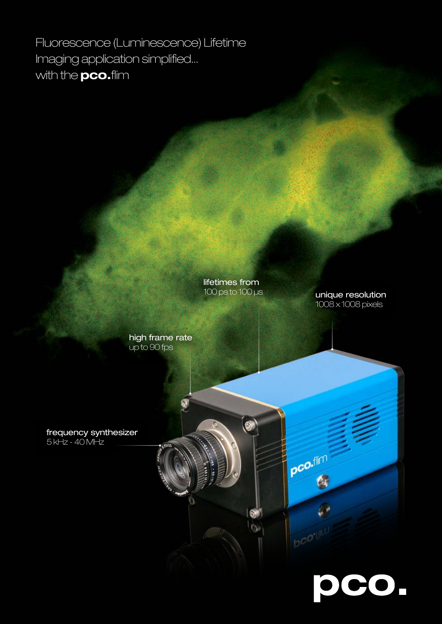Fluorescence (Luminescence) Lifetime Imaging application simplified... with the **pco.**flim

> high frame rate up to 90 fps

lifetimes from 100 ps to 100 µs

 $\bullet$ 

 $\bullet$  $\mathfrak{g}$  pco.flm

unique resolution 1008 x 1008 pixels

pco.

frequency synthesizer

5 kHz - 40 MHz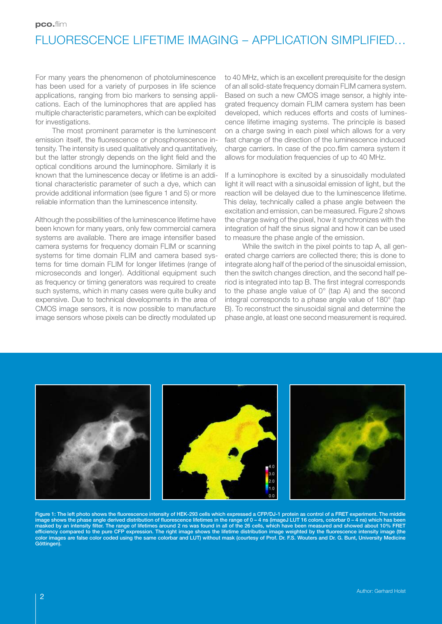# FLUORESCENCE LIFETIME IMAGING – APPLICATION SIMPLIFIED...

For many years the phenomenon of photoluminescence has been used for a variety of purposes in life science applications, ranging from bio markers to sensing applications. Each of the luminophores that are applied has multiple characteristic parameters, which can be exploited for investigations.

The most prominent parameter is the luminescent emission itself, the fluorescence or phosphorescence intensity. The intensity is used qualitatively and quantitatively, but the latter strongly depends on the light field and the optical conditions around the luminophore. Similarly it is known that the luminescence decay or lifetime is an additional characteristic parameter of such a dye, which can provide additional information (see figure 1 and 5) or more reliable information than the luminescence intensity.

Although the possibilities of the luminescence lifetime have been known for many years, only few commercial camera systems are available. There are image intensifier based camera systems for frequency domain FLIM or scanning systems for time domain FLIM and camera based systems for time domain FLIM for longer lifetimes (range of microseconds and longer). Additional equipment such as frequency or timing generators was required to create such systems, which in many cases were quite bulky and expensive. Due to technical developments in the area of CMOS image sensors, it is now possible to manufacture image sensors whose pixels can be directly modulated up

to 40 MHz, which is an excellent prerequisite for the design of an all solid-state frequency domain FLIM camera system. Based on such a new CMOS image sensor, a highly integrated frequency domain FLIM camera system has been developed, which reduces efforts and costs of luminescence lifetime imaging systems. The principle is based on a charge swing in each pixel which allows for a very fast change of the direction of the luminescence induced charge carriers. In case of the pco.flim camera system it allows for modulation frequencies of up to 40 MHz.

If a luminophore is excited by a sinusoidally modulated light it will react with a sinusoidal emission of light, but the reaction will be delayed due to the luminescence lifetime. This delay, technically called a phase angle between the excitation and emission, can be measured. Figure 2 shows the charge swing of the pixel, how it synchronizes with the integration of half the sinus signal and how it can be used to measure the phase angle of the emission.

While the switch in the pixel points to tap A, all generated charge carriers are collected there; this is done to integrate along half of the period of the sinusoidal emission, then the switch changes direction, and the second half period is integrated into tap B. The first integral corresponds to the phase angle value of 0° (tap A) and the second integral corresponds to a phase angle value of 180° (tap B). To reconstruct the sinusoidal signal and determine the phase angle, at least one second measurement is required.



Figure 1: The left photo shows the fluorescence intensity of HEK-293 cells which expressed a CFP/DJ-1 protein as control of a FRET experiment. The middle image shows the phase angle derived distribution of fluorescence lifetimes in the range of 0 – 4 ns (imageJ LUT 16 colors, colorbar 0 – 4 ns) which has been masked by an intensity filter. The range of lifetimes around 2 ns was found in all of the 26 cells, which have been measured and showed about 10% FRET<br>efficiency compared to the pure CFP expression. The right image shows t color images are false color coded using the same colorbar and LUT) without mask (courtesy of Prof. Dr. F.S. Wouters and Dr. G. Bunt, University Medicine Göttingen).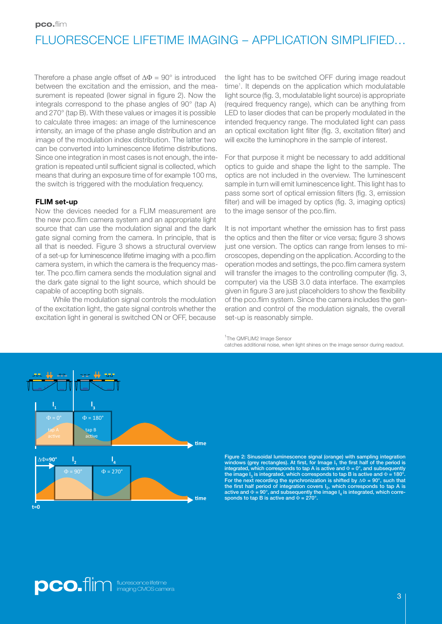# FLUORESCENCE LIFETIME IMAGING – APPLICATION SIMPLIFIED...

Therefore a phase angle offset of  $\Delta \Phi = 90^\circ$  is introduced between the excitation and the emission, and the measurement is repeated (lower signal in figure 2). Now the integrals correspond to the phase angles of 90° (tap A) and 270° (tap B). With these values or images it is possible to calculate three images: an image of the luminescence intensity, an image of the phase angle distribution and an image of the modulation index distribution. The latter two can be converted into luminescence lifetime distributions. Since one integration in most cases is not enough, the integration is repeated until sufficient signal is collected, which means that during an exposure time of for example 100 ms, the switch is triggered with the modulation frequency.

### FLIM set-up

Now the devices needed for a FLIM measurement are the new pco.flim camera system and an appropriate light source that can use the modulation signal and the dark gate signal coming from the camera. In principle, that is all that is needed. Figure 3 shows a structural overview of a set-up for luminescence lifetime imaging with a pco.flim camera system, in which the camera is the frequency master. The pco.flim camera sends the modulation signal and the dark gate signal to the light source, which should be capable of accepting both signals.

While the modulation signal controls the modulation of the excitation light, the gate signal controls whether the excitation light in general is switched ON or OFF, because the light has to be switched OFF during image readout time<sup>1</sup>. It depends on the application which modulatable light source (fig. 3, modulatable light source) is appropriate (required frequency range), which can be anything from LED to laser diodes that can be properly modulated in the intended frequency range. The modulated light can pass an optical excitation light filter (fig. 3, excitation filter) and will excite the luminophore in the sample of interest.

For that purpose it might be necessary to add additional optics to guide and shape the light to the sample. The optics are not included in the overview. The luminescent sample in turn will emit luminescence light. This light has to pass some sort of optical emission filters (fig. 3, emission filter) and will be imaged by optics (fig. 3, imaging optics) to the image sensor of the pco.flim.

It is not important whether the emission has to first pass the optics and then the filter or vice versa; figure 3 shows just one version. The optics can range from lenses to microscopes, depending on the application. According to the operation modes and settings, the pco.flim camera system will transfer the images to the controlling computer (fig. 3, computer) via the USB 3.0 data interface. The examples given in figure 3 are just placeholders to show the flexibility of the pco.flim system. Since the camera includes the generation and control of the modulation signals, the overall set-up is reasonably simple.

<sup>1</sup>The QMFLIM2 Image Sensor

catches additional noise, when light shines on the image sensor during readout.



windows (grey rectangles). At first, for Image I<sub>1</sub> the first half of the period is<br>integrated, which corresponds to tap A is active and  $\Phi = 0^{\circ}$ , and subsequently the image  $I_3$  is integrated, which corresponds to tap B is active and  $\Phi$  = 180°. For the next recording the synchronization is shifted by  $\Delta\Phi = 90^\circ$ , such that the first half period of integration covers  $I_2$ , which corresponds to tap A is active and  $\Phi = 90^\circ$ , and subsequently the image  $I_4$  is integrated, which corresponds to tap B is active and  $\Phi = 270^{\circ}$ .

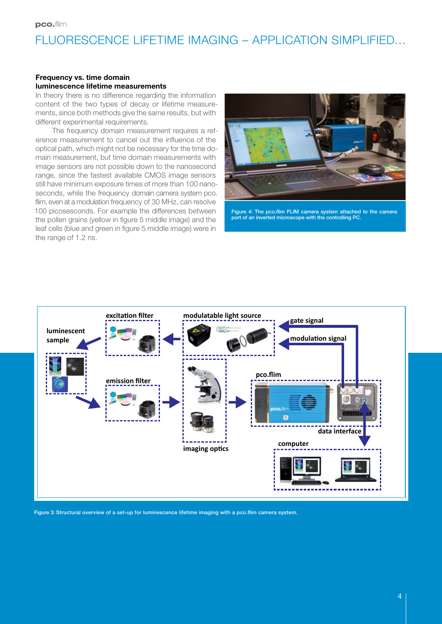## FLUORESCENCE LIFETIME IMAGING – APPLICATION SIMPLIFIED…

#### Frequency vs. time domain luminescence lifetime measurements

In theory there is no difference regarding the information content of the two types of decay or lifetime measurements, since both methods give the same results, but with different experimental requirements.

The frequency domain measurement requires a reference measurement to cancel out the influence of the optical path, which might not be necessary for the time domain measurement, but time domain measurements with image sensors are not possible down to the nanosecond range, since the fastest available CMOS image sensors still have minimum exposure times of more than 100 nanoseconds, while the frequency domain camera system pco. flim, even at a modulation frequency of 30 MHz, can resolve 100 picosesconds. For example the differences between the pollen grains (yellow in figure 5 middle image) and the leaf cells (blue and green in figure 5 middle image) were in the range of 1.2 ns.



Figure 4: The pco.flim FLIM camera system attached to the camera port of an inverted microscope with the controlling PC.



Figure 3: Structural overview of a set-up for luminescence lifetime imaging with a pco.flim camera system.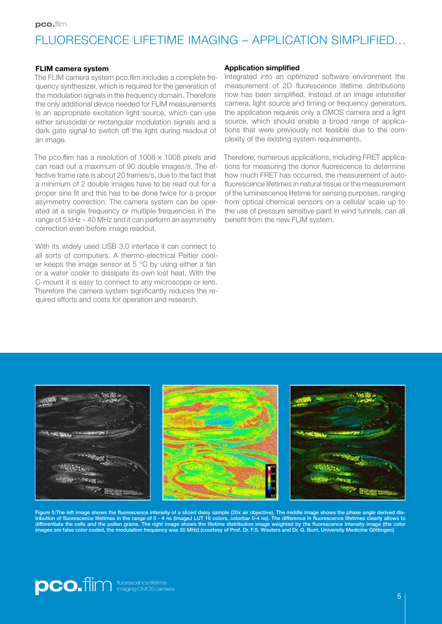## FLUORESCENCE LIFETIME IMAGING – APPLICATION SIMPLIFIED...

#### FLIM camera system

The FLIM camera system pco.flim includes a complete frequency synthesizer, which is required for the generation of the modulation signals in the frequency domain. Therefore the only additional device needed for FLIM measurements is an appropriate excitation light source, which can use either sinusoidal or rectangular modulation signals and a dark gate signal to switch off the light during readout of an image.

The pco.flim has a resolution of 1008 x 1008 pixels and can read out a maximum of 90 double images/s. The effective frame rate is about 20 frames/s, due to the fact that a minimum of 2 double images have to be read out for a proper sine fit and this has to be done twice for a proper asymmetry correction. The camera system can be operated at a single frequency or multiple frequencies in the range of 5 kHz – 40 MHz and it can perform an asymmetry correction even before image readout.

With its widely used USB 3.0 interface it can connect to all sorts of computers. A thermo-electrical Peltier cooler keeps the image sensor at 5 °C by using either a fan or a water cooler to dissipate its own lost heat. With the C-mount it is easy to connect to any microscope or lens. Therefore the camera system significantly reduces the required efforts and costs for operation and research.

#### Application simplified

Integrated into an optimized software environment the measurement of 2D fluorescence lifetime distributions now has been simplified. Instead of an image intensifier camera, light source and timing or frequency generators, the application requires only a CMOS camera and a light source, which should enable a broad range of applications that were previously not feasible due to the complexity of the existing system requirements.

Therefore, numerous applications, including FRET applications for measuring the donor fluorescence to determine how much FRET has occurred, the measurement of autofluorescence lifetimes in natural tissue or the measurement of the luminescence lifetime for sensing purposes, ranging from optical chemical sensors on a cellular scale up to the use of pressure sensitive paint in wind tunnels, can all benefit from the new FLIM system.



Figure 5:The left image shows the fluorescence intensity of a sliced daisy sample (20x air objective). The middle image shows the phase angle derived distribution of fluorescence lifetimes in the range of 0 - 4 ns (imageJ LUT 16 colors, colorbar 0-4 ns). The difference in fluorescence lifetimes clearly allows to differentiate the cells and the pollen grains. The right image shows the lifetime distribution image weighted by the fluorescence intensity image (the color<br>images are false color coded, the modulation frequency was 30 MHz

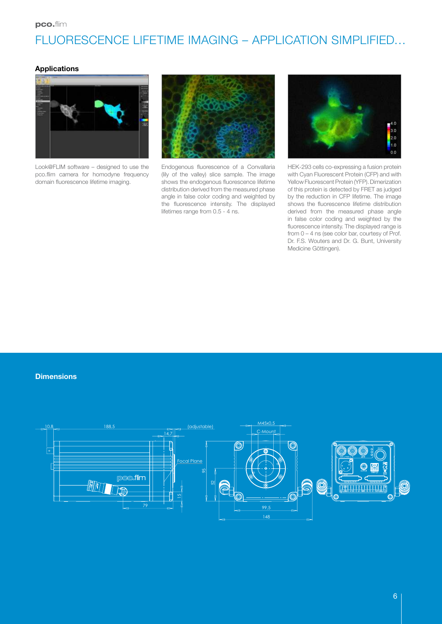# FLUORESCENCE LIFETIME IMAGING – APPLICATION SIMPLIFIED…

## Applications



Look@FLIM software – designed to use the pco.flim camera for homodyne frequency domain fluorescence lifetime imaging.



Endogenous fluorescence of a Convallaria (lily of the valley) slice sample. The image shows the endogenous fluorescence lifetime distribution derived from the measured phase angle in false color coding and weighted by the fluorescence intensity. The displayed lifetimes range from 0.5 - 4 ns.



HEK-293 cells co-expressing a fusion protein with Cyan Fluorescent Protein (CFP) and with Yellow Fluorescent Protein (YFP). Dimerization of this protein is detected by FRET as judged by the reduction in CFP lifetime. The image shows the fluorescence lifetime distribution derived from the measured phase angle in false color coding and weighted by the fluorescence intensity. The displayed range is from 0 – 4 ns (see color bar, courtesy of Prof. Dr. F.S. Wouters and Dr. G. Bunt, University Medicine Göttingen).

#### **Dimensions**

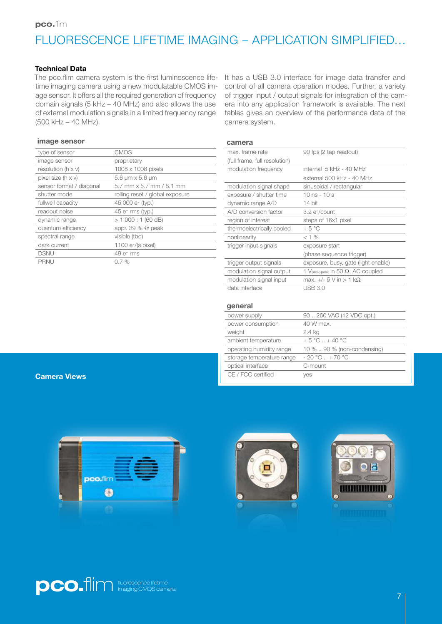# FLUORESCENCE LIFETIME IMAGING – APPLICATION SIMPLIFIED…

## Technical Data

The pco.flim camera system is the first luminescence lifetime imaging camera using a new modulatable CMOS image sensor. It offers all the required generation of frequency domain signals (5 kHz – 40 MHz) and also allows the use of external modulation signals in a limited frequency range (500 kHz – 40 MHz).

#### image sensor

| type of sensor              | CMOS                              |
|-----------------------------|-----------------------------------|
| image sensor                | proprietary                       |
| resolution ( $h \times v$ ) | 1008 x 1008 pixels                |
| pixel size (h x v)          | $5.6 \mu m \times 5.6 \mu m$      |
| sensor format / diagonal    | $5.7$ mm $\times$ 5.7 mm / 8.1 mm |
| shutter mode                | rolling reset / global exposure   |
| fullwell capacity           | 45 000 e <sup>-</sup> (typ.)      |
| readout noise               | 45 e- rms (typ.)                  |
| dynamic range               | > 1000:1(60dB)                    |
| quantum efficiency          | appr. 39 $%$ @ peak               |
| spectral range              | visible (tbd)                     |
| dark current                | $1100 e^{-/(s.pixel)}$            |
| <b>DSNU</b>                 | 49 e- rms                         |
| <b>PRNU</b>                 | 0.7%                              |
|                             |                                   |

It has a USB 3.0 interface for image data transfer and control of all camera operation modes. Further, a variety of trigger input / output signals for integration of the camera into any application framework is available. The next tables gives an overview of the performance data of the camera system.

#### camera

| max, frame rate               | 90 fps (2 tap readout)                               |
|-------------------------------|------------------------------------------------------|
| (full frame, full resolution) |                                                      |
| modulation frequency          | internal 5 kHz - 40 MHz                              |
|                               | external 500 kHz - 40 MHz                            |
| modulation signal shape       | sinusoidal / rectangular                             |
| exposure / shutter time       | 10 ns $-10s$                                         |
| dynamic range A/D             | 14 bit                                               |
| A/D conversion factor         | $3.2 e$ -/count                                      |
| region of interest            | steps of 16x1 pixel                                  |
| thermoelectrically cooled     | $+5^{\circ}$ C                                       |
| nonlinearity                  | $< 1\%$                                              |
| trigger input signals         | exposure start                                       |
|                               | (phase sequence trigger)                             |
| trigger output signals        | exposure, busy, gate (light enable)                  |
| modulation signal output      | 1 V <sub>peak-peak</sub> in 50 $\Omega$ , AC coupled |
| modulation signal input       | max. +/- 5 V in > 1 kΩ                               |
| data interface                | USB 3.0                                              |
|                               |                                                      |

#### general

| power supply              | 90  260 VAC (12 VDC opt.)        |
|---------------------------|----------------------------------|
| power consumption         | 40 W max.                        |
| weight                    | 2.4 kg                           |
| ambient temperature       | $+5^{\circ}$ C + 40 $^{\circ}$ C |
| operating humidity range  | 10 %  90 % (non-condensing)      |
| storage temperature range | $-20 °C + 70 °C$                 |
| optical interface         | C-mount                          |
| CE / FCC certified        | yes                              |

#### Camera Views